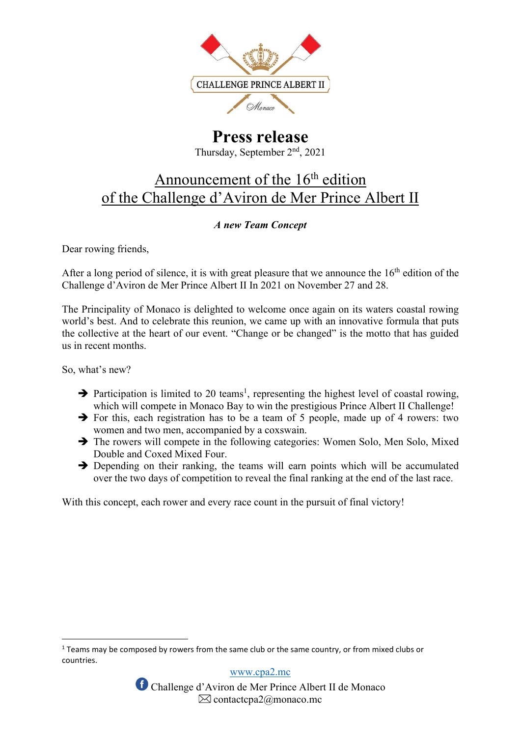

# Press release Thursday, September 2nd, 2021

# Announcement of the 16<sup>th</sup> edition of the Challenge d'Aviron de Mer Prince Albert II

## A new Team Concept

Dear rowing friends,

After a long period of silence, it is with great pleasure that we announce the  $16<sup>th</sup>$  edition of the Challenge d'Aviron de Mer Prince Albert II In 2021 on November 27 and 28.

The Principality of Monaco is delighted to welcome once again on its waters coastal rowing world's best. And to celebrate this reunion, we came up with an innovative formula that puts the collective at the heart of our event. "Change or be changed" is the motto that has guided us in recent months.

So, what's new?

- $\rightarrow$  Participation is limited to 20 teams<sup>1</sup>, representing the highest level of coastal rowing, which will compete in Monaco Bay to win the prestigious Prince Albert II Challenge!
- $\rightarrow$  For this, each registration has to be a team of 5 people, made up of 4 rowers: two women and two men, accompanied by a coxswain.
- $\rightarrow$  The rowers will compete in the following categories: Women Solo, Men Solo, Mixed Double and Coxed Mixed Four.
- $\rightarrow$  Depending on their ranking, the teams will earn points which will be accumulated over the two days of competition to reveal the final ranking at the end of the last race.

With this concept, each rower and every race count in the pursuit of final victory!

www.cpa2.mc

 $<sup>1</sup>$  Teams may be composed by rowers from the same club or the same country, or from mixed clubs or</sup> countries.